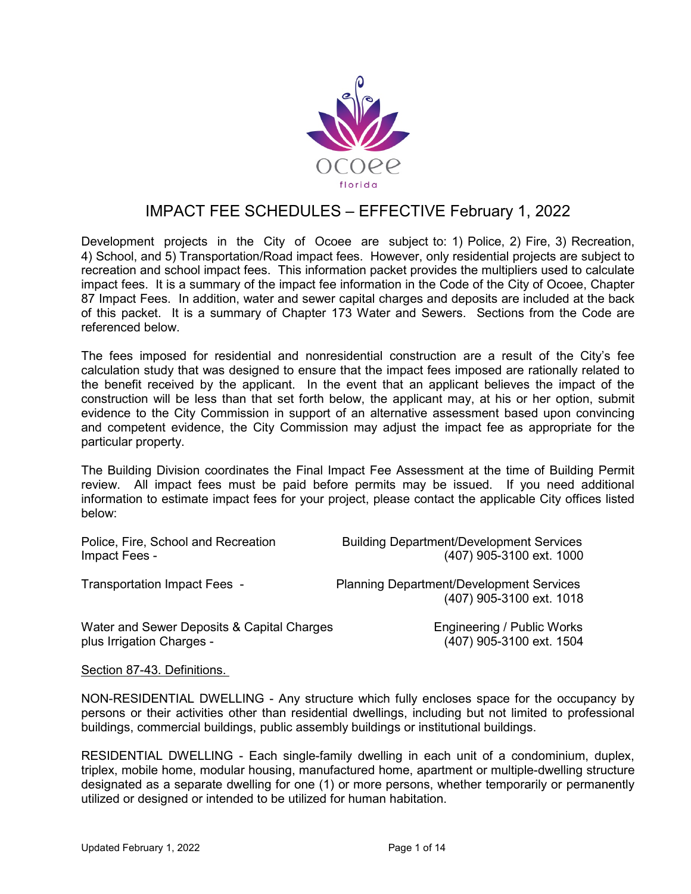

# IMPACT FEE SCHEDULES – EFFECTIVE February 1, 2022

Development projects in the City of Ocoee are subject to: 1) Police, 2) Fire, 3) Recreation, 4) School, and 5) Transportation/Road impact fees. However, only residential projects are subject to recreation and school impact fees. This information packet provides the multipliers used to calculate impact fees. It is a summary of the impact fee information in the Code of the City of Ocoee, Chapter 87 Impact Fees. In addition, water and sewer capital charges and deposits are included at the back of this packet. It is a summary of Chapter 173 Water and Sewers. Sections from the Code are referenced below.

The fees imposed for residential and nonresidential construction are a result of the City's fee calculation study that was designed to ensure that the impact fees imposed are rationally related to the benefit received by the applicant. In the event that an applicant believes the impact of the construction will be less than that set forth below, the applicant may, at his or her option, submit evidence to the City Commission in support of an alternative assessment based upon convincing and competent evidence, the City Commission may adjust the impact fee as appropriate for the particular property.

The Building Division coordinates the Final Impact Fee Assessment at the time of Building Permit review. All impact fees must be paid before permits may be issued. If you need additional information to estimate impact fees for your project, please contact the applicable City offices listed below:

| Police, Fire, School and Recreation        | <b>Building Department/Development Services</b>                             |
|--------------------------------------------|-----------------------------------------------------------------------------|
| Impact Fees -                              | (407) 905-3100 ext. 1000                                                    |
| Transportation Impact Fees -               | <b>Planning Department/Development Services</b><br>(407) 905-3100 ext. 1018 |
| Water and Sewer Deposits & Capital Charges | Engineering / Public Works                                                  |
| plus Irrigation Charges -                  | (407) 905-3100 ext. 1504                                                    |
|                                            |                                                                             |

Section 87-43. Definitions.

NON-RESIDENTIAL DWELLING - Any structure which fully encloses space for the occupancy by persons or their activities other than residential dwellings, including but not limited to professional buildings, commercial buildings, public assembly buildings or institutional buildings.

RESIDENTIAL DWELLING - Each single-family dwelling in each unit of a condominium, duplex, triplex, mobile home, modular housing, manufactured home, apartment or multiple-dwelling structure designated as a separate dwelling for one (1) or more persons, whether temporarily or permanently utilized or designed or intended to be utilized for human habitation.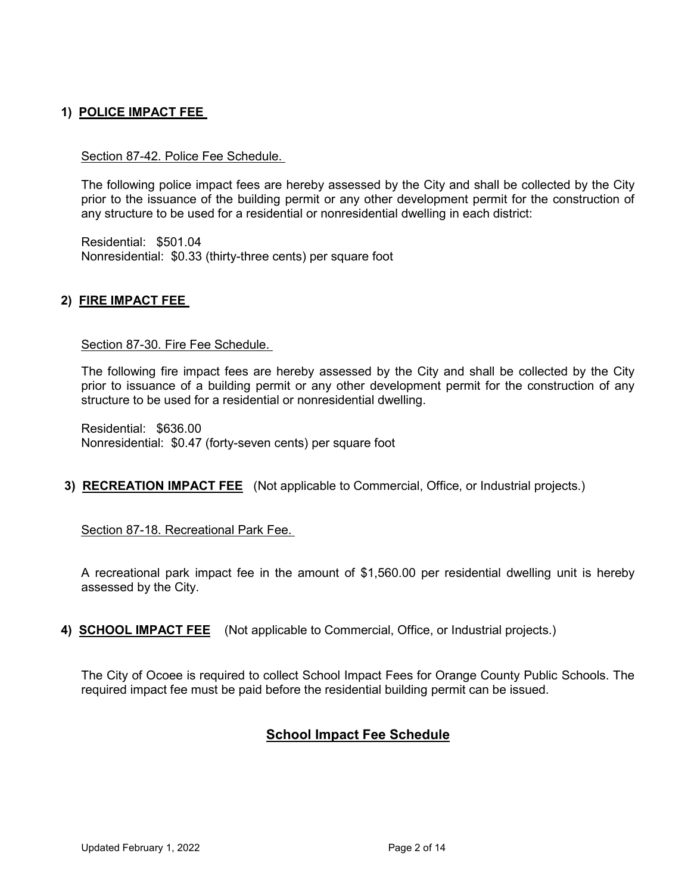## **1) POLICE IMPACT FEE**

#### Section 87-42. Police Fee Schedule.

The following police impact fees are hereby assessed by the City and shall be collected by the City prior to the issuance of the building permit or any other development permit for the construction of any structure to be used for a residential or nonresidential dwelling in each district:

Residential: \$501.04 Nonresidential: \$0.33 (thirty-three cents) per square foot

#### **2) FIRE IMPACT FEE**

#### Section 87-30. Fire Fee Schedule.

The following fire impact fees are hereby assessed by the City and shall be collected by the City prior to issuance of a building permit or any other development permit for the construction of any structure to be used for a residential or nonresidential dwelling.

Residential: \$636.00 Nonresidential: \$0.47 (forty-seven cents) per square foot

**3) RECREATION IMPACT FEE** (Not applicable to Commercial, Office, or Industrial projects.)

Section 87-18. Recreational Park Fee.

A recreational park impact fee in the amount of \$1,560.00 per residential dwelling unit is hereby assessed by the City.

**4) SCHOOL IMPACT FEE** (Not applicable to Commercial, Office, or Industrial projects.)

The City of Ocoee is required to collect School Impact Fees for Orange County Public Schools. The required impact fee must be paid before the residential building permit can be issued.

## **School Impact Fee Schedule**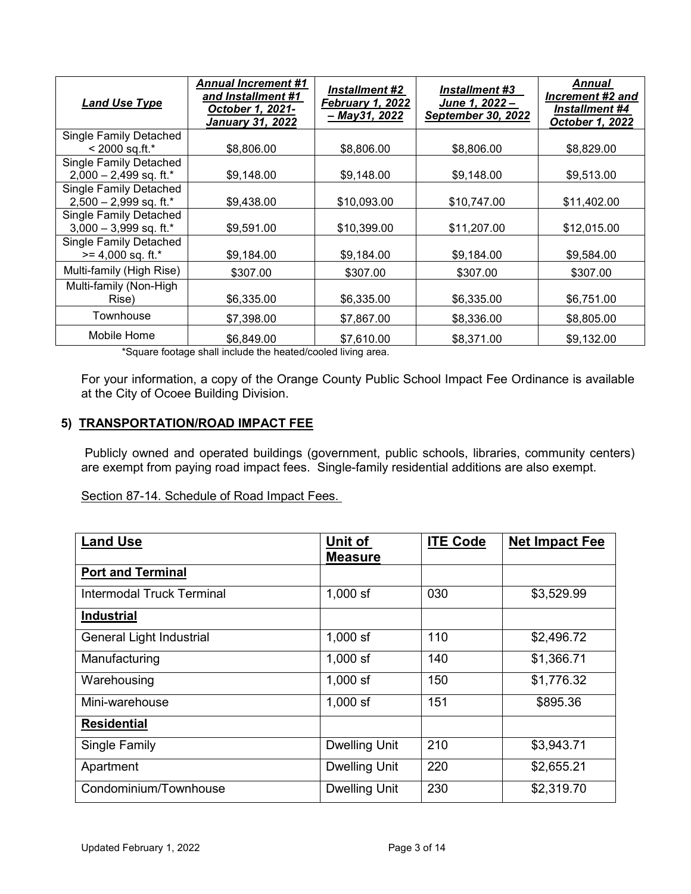| <b>Land Use Type</b>                                      | <b>Annual Increment #1</b><br>and Installment #1<br>October 1, 2021-<br><b>January 31, 2022</b> | <b>Installment #2</b><br>February 1, 2022<br>- May 31, 2022 | <i><b>Installment #3</b></i><br>June 1, 2022 -<br><b>September 30, 2022</b> | Annual<br>Increment #2 and<br><b>Installment #4</b><br>October 1, 2022 |
|-----------------------------------------------------------|-------------------------------------------------------------------------------------------------|-------------------------------------------------------------|-----------------------------------------------------------------------------|------------------------------------------------------------------------|
| <b>Single Family Detached</b>                             |                                                                                                 |                                                             |                                                                             |                                                                        |
| $<$ 2000 sq.ft.*                                          | \$8,806.00                                                                                      | \$8,806.00                                                  | \$8,806.00                                                                  | \$8,829.00                                                             |
| <b>Single Family Detached</b><br>$2,000 - 2,499$ sq. ft.* | \$9,148.00                                                                                      | \$9,148.00                                                  | \$9,148.00                                                                  | \$9,513.00                                                             |
| <b>Single Family Detached</b><br>$2,500 - 2,999$ sq. ft.* | \$9,438.00                                                                                      | \$10,093.00                                                 | \$10,747.00                                                                 | \$11,402.00                                                            |
| <b>Single Family Detached</b><br>$3,000 - 3,999$ sq. ft.* | \$9,591.00                                                                                      | \$10,399.00                                                 | \$11,207.00                                                                 | \$12,015.00                                                            |
| <b>Single Family Detached</b><br>$>= 4,000$ sq. ft.*      | \$9,184.00                                                                                      | \$9,184.00                                                  | \$9,184.00                                                                  | \$9,584.00                                                             |
| Multi-family (High Rise)                                  | \$307.00                                                                                        | \$307.00                                                    | \$307.00                                                                    | \$307.00                                                               |
| Multi-family (Non-High<br>Rise)                           | \$6,335.00                                                                                      | \$6,335.00                                                  | \$6,335.00                                                                  | \$6,751.00                                                             |
| Townhouse                                                 | \$7,398.00                                                                                      | \$7,867.00                                                  | \$8,336.00                                                                  | \$8,805.00                                                             |
| Mobile Home                                               | \$6.849.00                                                                                      | \$7.610.00                                                  | \$8,371.00                                                                  | \$9,132.00                                                             |

\*Square footage shall include the heated/cooled living area.

For your information, a copy of the Orange County Public School Impact Fee Ordinance is available at the City of Ocoee Building Division.

#### **5) TRANSPORTATION/ROAD IMPACT FEE**

Publicly owned and operated buildings (government, public schools, libraries, community centers) are exempt from paying road impact fees. Single-family residential additions are also exempt.

Section 87-14. Schedule of Road Impact Fees.

| <b>Land Use</b>                  | Unit of              | <b>ITE Code</b> | <b>Net Impact Fee</b> |
|----------------------------------|----------------------|-----------------|-----------------------|
|                                  | <b>Measure</b>       |                 |                       |
| <b>Port and Terminal</b>         |                      |                 |                       |
| <b>Intermodal Truck Terminal</b> | $1,000$ sf           | 030             | \$3,529.99            |
| <b>Industrial</b>                |                      |                 |                       |
| General Light Industrial         | $1,000$ sf           | 110             | \$2,496.72            |
| Manufacturing                    | $1,000$ sf           | 140             | \$1,366.71            |
| Warehousing                      | $1,000$ sf           | 150             | \$1,776.32            |
| Mini-warehouse                   | $1,000$ sf           | 151             | \$895.36              |
| <b>Residential</b>               |                      |                 |                       |
| Single Family                    | <b>Dwelling Unit</b> | 210             | \$3,943.71            |
| Apartment                        | <b>Dwelling Unit</b> | 220             | \$2,655.21            |
| Condominium/Townhouse            | <b>Dwelling Unit</b> | 230             | \$2,319.70            |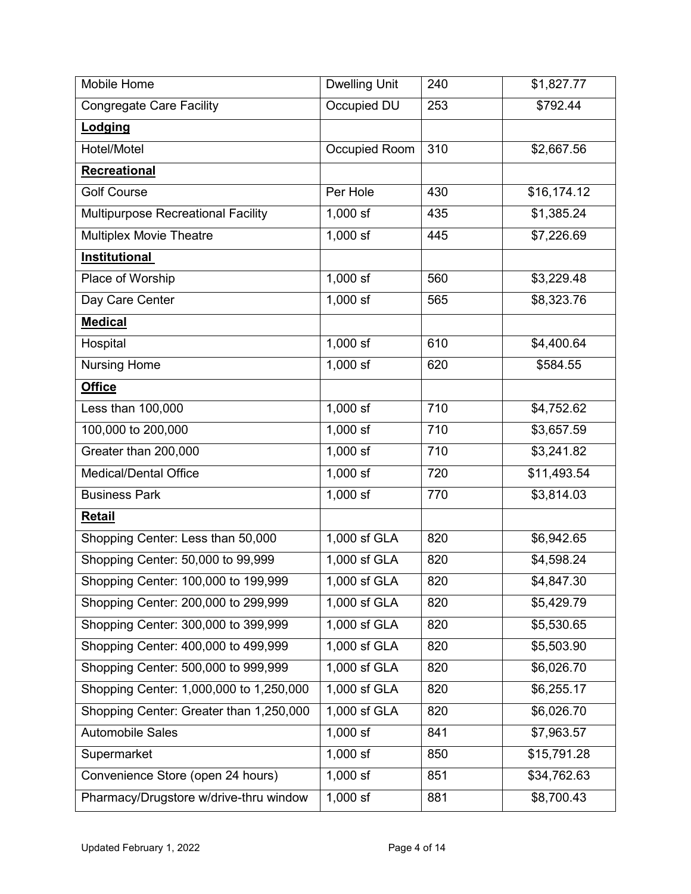| Mobile Home                             | <b>Dwelling Unit</b> | 240 | \$1,827.77  |
|-----------------------------------------|----------------------|-----|-------------|
| <b>Congregate Care Facility</b>         | Occupied DU          | 253 | \$792.44    |
| Lodging                                 |                      |     |             |
| Hotel/Motel                             | Occupied Room        | 310 | \$2,667.56  |
| Recreational                            |                      |     |             |
| <b>Golf Course</b>                      | Per Hole             | 430 | \$16,174.12 |
| Multipurpose Recreational Facility      | $1,000$ sf           | 435 | \$1,385.24  |
| <b>Multiplex Movie Theatre</b>          | $1,000$ sf           | 445 | \$7,226.69  |
| <b>Institutional</b>                    |                      |     |             |
| Place of Worship                        | $1,000$ sf           | 560 | \$3,229.48  |
| Day Care Center                         | $1,000$ sf           | 565 | \$8,323.76  |
| <b>Medical</b>                          |                      |     |             |
| Hospital                                | $1,000$ sf           | 610 | \$4,400.64  |
| <b>Nursing Home</b>                     | 1,000 sf             | 620 | \$584.55    |
| <b>Office</b>                           |                      |     |             |
| Less than 100,000                       | $1,000$ sf           | 710 | \$4,752.62  |
| 100,000 to 200,000                      | $1,000$ sf           | 710 | \$3,657.59  |
| Greater than 200,000                    | $1,000$ sf           | 710 | \$3,241.82  |
| <b>Medical/Dental Office</b>            | 1,000 sf             | 720 | \$11,493.54 |
| <b>Business Park</b>                    | $1,000$ sf           | 770 | \$3,814.03  |
| <b>Retail</b>                           |                      |     |             |
| Shopping Center: Less than 50,000       | 1,000 sf GLA         | 820 | \$6,942.65  |
| Shopping Center: 50,000 to 99,999       | 1,000 sf GLA         | 820 | \$4,598.24  |
| Shopping Center: 100,000 to 199,999     | 1,000 sf GLA         | 820 | \$4,847.30  |
| Shopping Center: 200,000 to 299,999     | 1,000 sf GLA         | 820 | \$5,429.79  |
| Shopping Center: 300,000 to 399,999     | 1,000 sf GLA         | 820 | \$5,530.65  |
| Shopping Center: 400,000 to 499,999     | 1,000 sf GLA         | 820 | \$5,503.90  |
| Shopping Center: 500,000 to 999,999     | 1,000 sf GLA         | 820 | \$6,026.70  |
| Shopping Center: 1,000,000 to 1,250,000 | 1,000 sf GLA         | 820 | \$6,255.17  |
| Shopping Center: Greater than 1,250,000 | 1,000 sf GLA         | 820 | \$6,026.70  |
| <b>Automobile Sales</b>                 | $1,000$ sf           | 841 | \$7,963.57  |
| Supermarket                             | $1,000$ sf           | 850 | \$15,791.28 |
| Convenience Store (open 24 hours)       | $1,000$ sf           | 851 | \$34,762.63 |
| Pharmacy/Drugstore w/drive-thru window  | $1,000$ sf           | 881 | \$8,700.43  |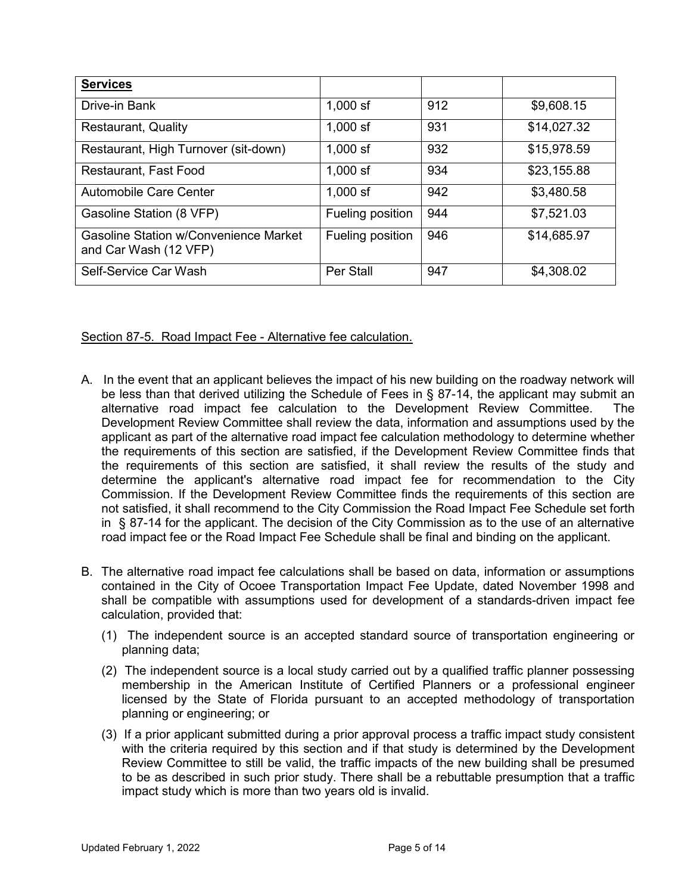| <b>Services</b>                                                       |                  |     |             |
|-----------------------------------------------------------------------|------------------|-----|-------------|
| Drive-in Bank                                                         | $1,000$ sf       | 912 | \$9,608.15  |
| <b>Restaurant, Quality</b>                                            | $1,000$ sf       | 931 | \$14,027.32 |
| Restaurant, High Turnover (sit-down)                                  | $1,000$ sf       | 932 | \$15,978.59 |
| Restaurant, Fast Food                                                 | $1,000$ sf       | 934 | \$23,155.88 |
| Automobile Care Center                                                | $1,000$ sf       | 942 | \$3,480.58  |
| Gasoline Station (8 VFP)                                              | Fueling position | 944 | \$7,521.03  |
| <b>Gasoline Station w/Convenience Market</b><br>and Car Wash (12 VFP) | Fueling position | 946 | \$14,685.97 |
| Self-Service Car Wash                                                 | Per Stall        | 947 | \$4,308.02  |

Section 87-5. Road Impact Fee - Alternative fee calculation.

- A. In the event that an applicant believes the impact of his new building on the roadway network will be less than that derived utilizing the Schedule of Fees in § 87-14, the applicant may submit an alternative road impact fee calculation to the Development Review Committee. The Development Review Committee shall review the data, information and assumptions used by the applicant as part of the alternative road impact fee calculation methodology to determine whether the requirements of this section are satisfied, if the Development Review Committee finds that the requirements of this section are satisfied, it shalI review the results of the study and determine the applicant's alternative road impact fee for recommendation to the City Commission. If the Development Review Committee finds the requirements of this section are not satisfied, it shall recommend to the City Commission the Road Impact Fee Schedule set forth in § 87-14 for the applicant. The decision of the City Commission as to the use of an alternative road impact fee or the Road Impact Fee Schedule shall be final and binding on the applicant.
- B. The alternative road impact fee calculations shall be based on data, information or assumptions contained in the City of Ocoee Transportation Impact Fee Update, dated November 1998 and shall be compatible with assumptions used for development of a standards-driven impact fee calculation, provided that:
	- (1) The independent source is an accepted standard source of transportation engineering or planning data;
	- (2) The independent source is a local study carried out by a qualified traffic planner possessing membership in the American Institute of Certified Planners or a professional engineer licensed by the State of Florida pursuant to an accepted methodology of transportation planning or engineering; or
	- (3) If a prior applicant submitted during a prior approval process a traffic impact study consistent with the criteria required by this section and if that study is determined by the Development Review Committee to still be valid, the traffic impacts of the new building shall be presumed to be as described in such prior study. There shall be a rebuttable presumption that a traffic impact study which is more than two years old is invalid.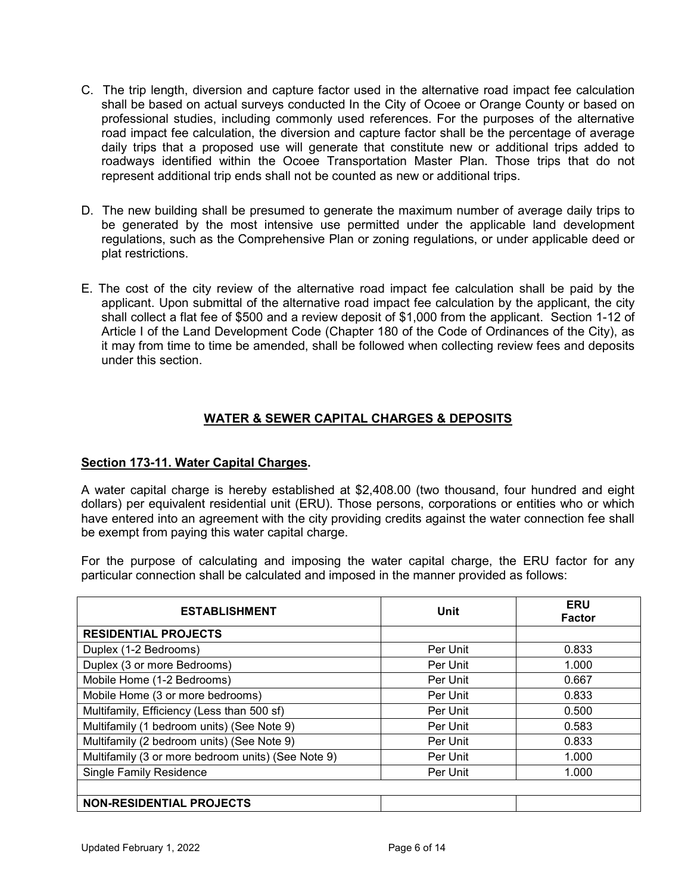- C. The trip length, diversion and capture factor used in the alternative road impact fee calculation shall be based on actual surveys conducted In the City of Ocoee or Orange County or based on professional studies, including commonly used references. For the purposes of the alternative road impact fee calculation, the diversion and capture factor shall be the percentage of average daily trips that a proposed use will generate that constitute new or additional trips added to roadways identified within the Ocoee Transportation Master Plan. Those trips that do not represent additional trip ends shall not be counted as new or additional trips.
- D. The new building shall be presumed to generate the maximum number of average daily trips to be generated by the most intensive use permitted under the applicable land development regulations, such as the Comprehensive Plan or zoning regulations, or under applicable deed or plat restrictions.
- E. The cost of the city review of the alternative road impact fee calculation shall be paid by the applicant. Upon submittal of the alternative road impact fee calculation by the applicant, the city shall collect a flat fee of \$500 and a review deposit of \$1,000 from the applicant. Section 1-12 of Article I of the Land Development Code (Chapter 180 of the Code of Ordinances of the City), as it may from time to time be amended, shall be followed when collecting review fees and deposits under this section.

## **WATER & SEWER CAPITAL CHARGES & DEPOSITS**

## **Section 173-11. Water Capital Charges.**

A water capital charge is hereby established at \$2,408.00 (two thousand, four hundred and eight dollars) per equivalent residential unit (ERU). Those persons, corporations or entities who or which have entered into an agreement with the city providing credits against the water connection fee shall be exempt from paying this water capital charge.

For the purpose of calculating and imposing the water capital charge, the ERU factor for any particular connection shall be calculated and imposed in the manner provided as follows:

| <b>ESTABLISHMENT</b>                               | Unit     | <b>ERU</b><br><b>Factor</b> |
|----------------------------------------------------|----------|-----------------------------|
| <b>RESIDENTIAL PROJECTS</b>                        |          |                             |
| Duplex (1-2 Bedrooms)                              | Per Unit | 0.833                       |
| Duplex (3 or more Bedrooms)                        | Per Unit | 1.000                       |
| Mobile Home (1-2 Bedrooms)                         | Per Unit | 0.667                       |
| Mobile Home (3 or more bedrooms)                   | Per Unit | 0.833                       |
| Multifamily, Efficiency (Less than 500 sf)         | Per Unit | 0.500                       |
| Multifamily (1 bedroom units) (See Note 9)         | Per Unit | 0.583                       |
| Multifamily (2 bedroom units) (See Note 9)         | Per Unit | 0.833                       |
| Multifamily (3 or more bedroom units) (See Note 9) | Per Unit | 1.000                       |
| <b>Single Family Residence</b>                     | Per Unit | 1.000                       |
|                                                    |          |                             |
| <b>NON-RESIDENTIAL PROJECTS</b>                    |          |                             |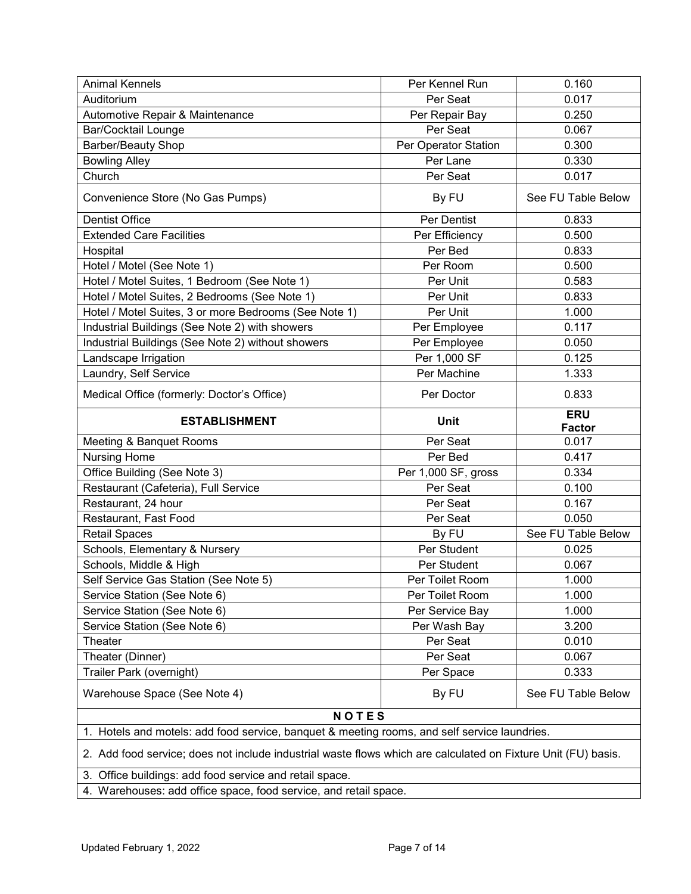| <b>Animal Kennels</b>                                                                                                                                                    | Per Kennel Run       | 0.160              |
|--------------------------------------------------------------------------------------------------------------------------------------------------------------------------|----------------------|--------------------|
| Auditorium                                                                                                                                                               | Per Seat             | 0.017              |
| Automotive Repair & Maintenance                                                                                                                                          | Per Repair Bay       | 0.250              |
| <b>Bar/Cocktail Lounge</b>                                                                                                                                               | Per Seat             | 0.067              |
| Barber/Beauty Shop                                                                                                                                                       | Per Operator Station | 0.300              |
| <b>Bowling Alley</b>                                                                                                                                                     | Per Lane             | 0.330              |
| Church                                                                                                                                                                   | Per Seat             | 0.017              |
| Convenience Store (No Gas Pumps)                                                                                                                                         | By FU                | See FU Table Below |
| <b>Dentist Office</b>                                                                                                                                                    | Per Dentist          | 0.833              |
| <b>Extended Care Facilities</b>                                                                                                                                          | Per Efficiency       | 0.500              |
| Hospital                                                                                                                                                                 | Per Bed              | 0.833              |
| Hotel / Motel (See Note 1)                                                                                                                                               | Per Room             | 0.500              |
| Hotel / Motel Suites, 1 Bedroom (See Note 1)                                                                                                                             | Per Unit             | 0.583              |
| Hotel / Motel Suites, 2 Bedrooms (See Note 1)                                                                                                                            | Per Unit             | 0.833              |
| Hotel / Motel Suites, 3 or more Bedrooms (See Note 1)                                                                                                                    | Per Unit             | 1.000              |
| Industrial Buildings (See Note 2) with showers                                                                                                                           | Per Employee         | 0.117              |
| Industrial Buildings (See Note 2) without showers                                                                                                                        | Per Employee         | 0.050              |
| Landscape Irrigation                                                                                                                                                     | Per 1,000 SF         | 0.125              |
| Laundry, Self Service                                                                                                                                                    | Per Machine          | 1.333              |
| Medical Office (formerly: Doctor's Office)                                                                                                                               | Per Doctor           | 0.833              |
| <b>ESTABLISHMENT</b>                                                                                                                                                     | <b>Unit</b>          | <b>ERU</b>         |
|                                                                                                                                                                          |                      | <b>Factor</b>      |
| Meeting & Banquet Rooms                                                                                                                                                  | Per Seat             | 0.017              |
| <b>Nursing Home</b>                                                                                                                                                      | Per Bed              | 0.417              |
| Office Building (See Note 3)                                                                                                                                             | Per 1,000 SF, gross  | 0.334              |
| Restaurant (Cafeteria), Full Service                                                                                                                                     | Per Seat             | 0.100              |
| Restaurant, 24 hour                                                                                                                                                      | Per Seat             | 0.167              |
| Restaurant, Fast Food                                                                                                                                                    | Per Seat             | 0.050              |
| <b>Retail Spaces</b>                                                                                                                                                     | By FU                | See FU Table Below |
| Schools, Elementary & Nursery                                                                                                                                            | Per Student          | 0.025              |
| Schools, Middle & High                                                                                                                                                   | Per Student          | 0.067              |
| Self Service Gas Station (See Note 5)                                                                                                                                    | Per Toilet Room      | 1.000              |
| Service Station (See Note 6)                                                                                                                                             | Per Toilet Room      | 1.000              |
| Service Station (See Note 6)                                                                                                                                             | Per Service Bay      | 1.000              |
| Service Station (See Note 6)                                                                                                                                             | Per Wash Bay         | 3.200              |
| Theater                                                                                                                                                                  | Per Seat             | 0.010              |
| Theater (Dinner)                                                                                                                                                         | Per Seat             | 0.067              |
| Trailer Park (overnight)                                                                                                                                                 | Per Space            | 0.333              |
| Warehouse Space (See Note 4)                                                                                                                                             | By FU                | See FU Table Below |
| <b>NOTES</b>                                                                                                                                                             |                      |                    |
| 1. Hotels and motels: add food service, banquet & meeting rooms, and self service laundries.                                                                             |                      |                    |
| 2. Add food service; does not include industrial waste flows which are calculated on Fixture Unit (FU) basis.<br>3. Office buildings: add food service and retail space. |                      |                    |

4. Warehouses: add office space, food service, and retail space.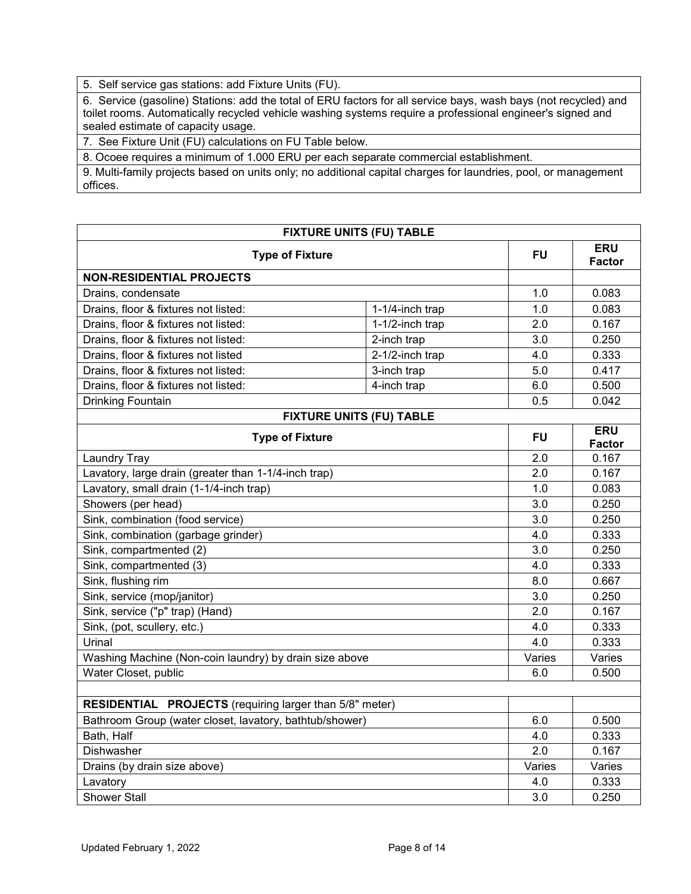5. Self service gas stations: add Fixture Units (FU).

6. Service (gasoline) Stations: add the total of ERU factors for all service bays, wash bays (not recycled) and toilet rooms. Automatically recycled vehicle washing systems require a professional engineer's signed and sealed estimate of capacity usage.

7. See Fixture Unit (FU) calculations on FU Table below.

8. Ocoee requires a minimum of 1.000 ERU per each separate commercial establishment.

9. Multi-family projects based on units only; no additional capital charges for laundries, pool, or management offices.

| <b>FIXTURE UNITS (FU) TABLE</b>                                |                                 |           |                             |
|----------------------------------------------------------------|---------------------------------|-----------|-----------------------------|
| <b>Type of Fixture</b>                                         |                                 | <b>FU</b> | <b>ERU</b><br><b>Factor</b> |
| <b>NON-RESIDENTIAL PROJECTS</b>                                |                                 |           |                             |
| Drains, condensate                                             |                                 | 1.0       | 0.083                       |
| Drains, floor & fixtures not listed:                           | 1-1/4-inch trap                 | 1.0       | 0.083                       |
| Drains, floor & fixtures not listed:                           | 1-1/2-inch trap                 | 2.0       | 0.167                       |
| Drains, floor & fixtures not listed:                           | 2-inch trap                     | 3.0       | 0.250                       |
| Drains, floor & fixtures not listed                            | 2-1/2-inch trap                 | 4.0       | 0.333                       |
| Drains, floor & fixtures not listed:                           | 3-inch trap                     | 5.0       | 0.417                       |
| Drains, floor & fixtures not listed:                           | 4-inch trap                     | 6.0       | 0.500                       |
| <b>Drinking Fountain</b>                                       |                                 | 0.5       | 0.042                       |
|                                                                | <b>FIXTURE UNITS (FU) TABLE</b> |           |                             |
| <b>Type of Fixture</b>                                         |                                 | FU        | <b>ERU</b><br>Factor        |
| Laundry Tray                                                   |                                 | 2.0       | 0.167                       |
| Lavatory, large drain (greater than 1-1/4-inch trap)           |                                 | 2.0       | 0.167                       |
| Lavatory, small drain (1-1/4-inch trap)                        |                                 | 1.0       | 0.083                       |
| Showers (per head)                                             |                                 | 3.0       | 0.250                       |
| Sink, combination (food service)                               |                                 | 3.0       | 0.250                       |
| Sink, combination (garbage grinder)                            |                                 | 4.0       | 0.333                       |
| Sink, compartmented (2)                                        |                                 | 3.0       | 0.250                       |
| Sink, compartmented (3)                                        |                                 | 4.0       | 0.333                       |
| Sink, flushing rim                                             |                                 | 8.0       | 0.667                       |
| Sink, service (mop/janitor)                                    |                                 | 3.0       | 0.250                       |
| Sink, service ("p" trap) (Hand)                                |                                 | 2.0       | 0.167                       |
| Sink, (pot, scullery, etc.)                                    |                                 | 4.0       | 0.333                       |
| Urinal                                                         |                                 | 4.0       | 0.333                       |
| Washing Machine (Non-coin laundry) by drain size above         |                                 | Varies    | Varies                      |
| Water Closet, public                                           |                                 | 6.0       | 0.500                       |
|                                                                |                                 |           |                             |
| <b>RESIDENTIAL PROJECTS</b> (requiring larger than 5/8" meter) |                                 |           |                             |
| Bathroom Group (water closet, lavatory, bathtub/shower)        |                                 | 6.0       | 0.500                       |
| Bath, Half                                                     |                                 | 4.0       | 0.333                       |
| Dishwasher                                                     |                                 | 2.0       | 0.167                       |
| Drains (by drain size above)                                   |                                 | Varies    | Varies                      |
| Lavatory                                                       |                                 | 4.0       | 0.333                       |
| <b>Shower Stall</b>                                            |                                 | 3.0       | 0.250                       |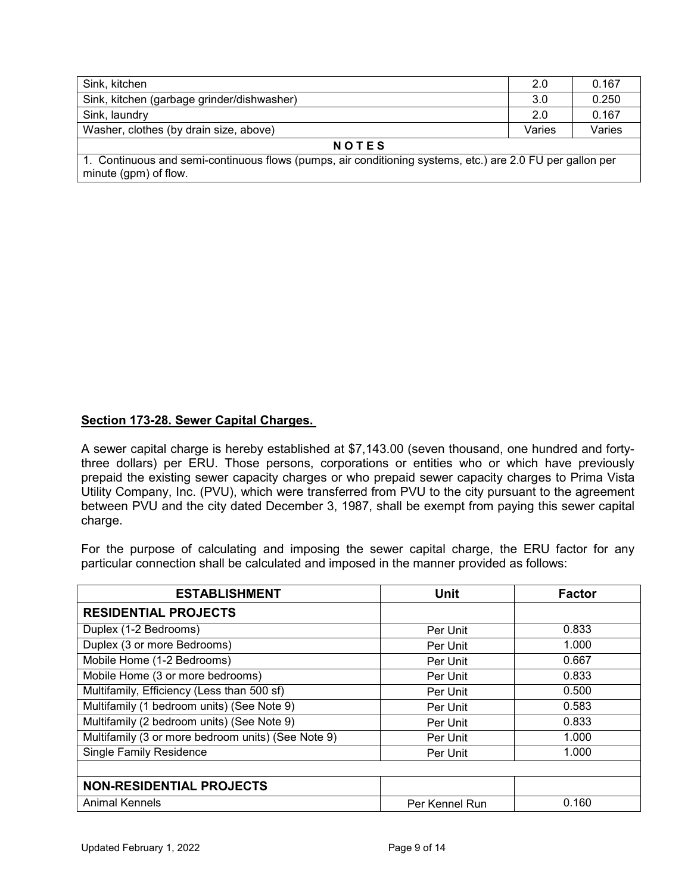| Sink, kitchen                                                                                                                      | 2.0    | 0.167  |  |
|------------------------------------------------------------------------------------------------------------------------------------|--------|--------|--|
| Sink, kitchen (garbage grinder/dishwasher)                                                                                         | 3.0    | 0.250  |  |
| Sink, laundry                                                                                                                      | 2.0    | 0.167  |  |
| Washer, clothes (by drain size, above)                                                                                             | Varies | Varies |  |
| <b>NOTES</b>                                                                                                                       |        |        |  |
| 1. Continuous and semi-continuous flows (pumps, air conditioning systems, etc.) are 2.0 FU per gallon per<br>minute (gpm) of flow. |        |        |  |

## **Section 173-28. Sewer Capital Charges.**

A sewer capital charge is hereby established at \$7,143.00 (seven thousand, one hundred and fortythree dollars) per ERU. Those persons, corporations or entities who or which have previously prepaid the existing sewer capacity charges or who prepaid sewer capacity charges to Prima Vista Utility Company, Inc. (PVU), which were transferred from PVU to the city pursuant to the agreement between PVU and the city dated December 3, 1987, shall be exempt from paying this sewer capital charge.

For the purpose of calculating and imposing the sewer capital charge, the ERU factor for any particular connection shall be calculated and imposed in the manner provided as follows:

| <b>ESTABLISHMENT</b>                               | <b>Unit</b>    | <b>Factor</b> |
|----------------------------------------------------|----------------|---------------|
| <b>RESIDENTIAL PROJECTS</b>                        |                |               |
| Duplex (1-2 Bedrooms)                              | Per Unit       | 0.833         |
| Duplex (3 or more Bedrooms)                        | Per Unit       | 1.000         |
| Mobile Home (1-2 Bedrooms)                         | Per Unit       | 0.667         |
| Mobile Home (3 or more bedrooms)                   | Per Unit       | 0.833         |
| Multifamily, Efficiency (Less than 500 sf)         | Per Unit       | 0.500         |
| Multifamily (1 bedroom units) (See Note 9)         | Per Unit       | 0.583         |
| Multifamily (2 bedroom units) (See Note 9)         | Per Unit       | 0.833         |
| Multifamily (3 or more bedroom units) (See Note 9) | Per Unit       | 1.000         |
| <b>Single Family Residence</b>                     | Per Unit       | 1.000         |
|                                                    |                |               |
| <b>NON-RESIDENTIAL PROJECTS</b>                    |                |               |
| Animal Kennels                                     | Per Kennel Run | 0.160         |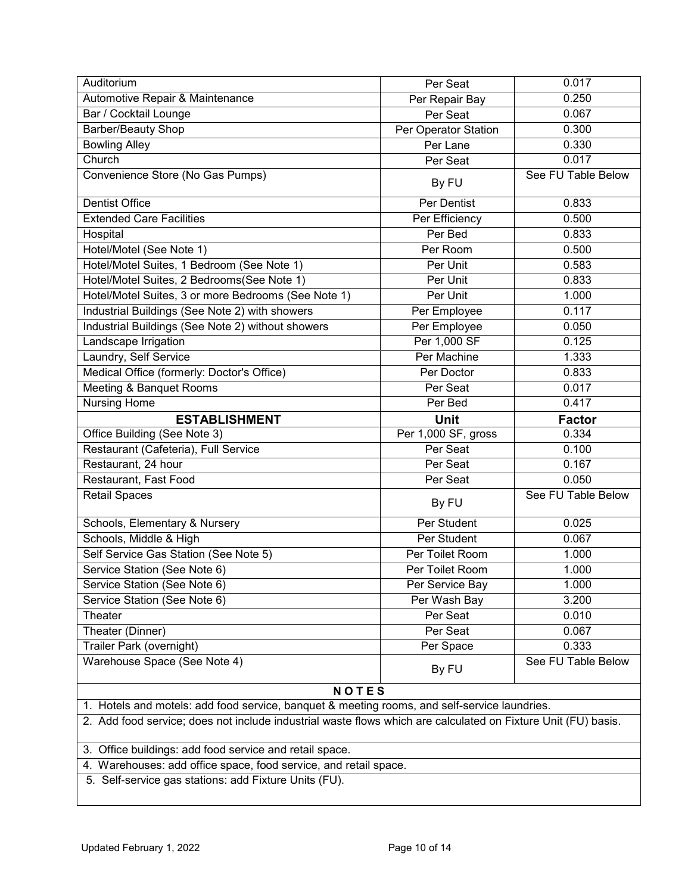| Auditorium                                                                                                    | Per Seat             | 0.017              |  |
|---------------------------------------------------------------------------------------------------------------|----------------------|--------------------|--|
| Automotive Repair & Maintenance                                                                               | Per Repair Bay       | 0.250              |  |
| Bar / Cocktail Lounge                                                                                         | Per Seat             | 0.067              |  |
| <b>Barber/Beauty Shop</b>                                                                                     | Per Operator Station | 0.300              |  |
| <b>Bowling Alley</b>                                                                                          | Per Lane             | 0.330              |  |
| Church                                                                                                        | Per Seat             | 0.017              |  |
| Convenience Store (No Gas Pumps)                                                                              | By FU                | See FU Table Below |  |
| <b>Dentist Office</b>                                                                                         | Per Dentist          | 0.833              |  |
| <b>Extended Care Facilities</b>                                                                               | Per Efficiency       | 0.500              |  |
| Hospital                                                                                                      | Per Bed              | 0.833              |  |
| Hotel/Motel (See Note 1)                                                                                      | Per Room             | 0.500              |  |
| Hotel/Motel Suites, 1 Bedroom (See Note 1)                                                                    | Per Unit             | 0.583              |  |
| Hotel/Motel Suites, 2 Bedrooms(See Note 1)                                                                    | Per Unit             | 0.833              |  |
| Hotel/Motel Suites, 3 or more Bedrooms (See Note 1)                                                           | Per Unit             | 1.000              |  |
| Industrial Buildings (See Note 2) with showers                                                                | Per Employee         | 0.117              |  |
| Industrial Buildings (See Note 2) without showers                                                             | Per Employee         | 0.050              |  |
| Landscape Irrigation                                                                                          | Per 1,000 SF         | 0.125              |  |
| Laundry, Self Service                                                                                         | Per Machine          | 1.333              |  |
| Medical Office (formerly: Doctor's Office)                                                                    | Per Doctor           | 0.833              |  |
| Meeting & Banquet Rooms                                                                                       | Per Seat             | 0.017              |  |
| Nursing Home                                                                                                  | Per Bed              | 0.417              |  |
| <b>ESTABLISHMENT</b>                                                                                          | <b>Unit</b>          | <b>Factor</b>      |  |
| Office Building (See Note 3)                                                                                  | Per 1,000 SF, gross  | 0.334              |  |
| Restaurant (Cafeteria), Full Service                                                                          | Per Seat             | 0.100              |  |
| Restaurant, 24 hour                                                                                           | Per Seat             | 0.167              |  |
| Restaurant, Fast Food                                                                                         | Per Seat             | 0.050              |  |
| <b>Retail Spaces</b>                                                                                          | By FU                | See FU Table Below |  |
| Schools, Elementary & Nursery                                                                                 | Per Student          | 0.025              |  |
| Schools, Middle & High                                                                                        | Per Student          | 0.067              |  |
| Self Service Gas Station (See Note 5)                                                                         | Per Toilet Room      | 1.000              |  |
| Service Station (See Note 6)                                                                                  | Per Toilet Room      | 1.000              |  |
| Service Station (See Note 6)                                                                                  | Per Service Bay      | 1.000              |  |
| Service Station (See Note 6)                                                                                  | Per Wash Bay         | 3.200              |  |
| Theater                                                                                                       | Per Seat             | 0.010              |  |
| Theater (Dinner)                                                                                              | Per Seat             | 0.067              |  |
| Trailer Park (overnight)                                                                                      | Per Space            | 0.333              |  |
| Warehouse Space (See Note 4)                                                                                  | By FU                | See FU Table Below |  |
| <b>NOTES</b>                                                                                                  |                      |                    |  |
| 1. Hotels and motels: add food service, banquet & meeting rooms, and self-service laundries.                  |                      |                    |  |
| 2. Add food service; does not include industrial waste flows which are calculated on Fixture Unit (FU) basis. |                      |                    |  |
| 3. Office buildings: add food service and retail space.                                                       |                      |                    |  |
| 4. Warehouses: add office space, food service, and retail space.                                              |                      |                    |  |
| 5. Self-service gas stations: add Fixture Units (FU).                                                         |                      |                    |  |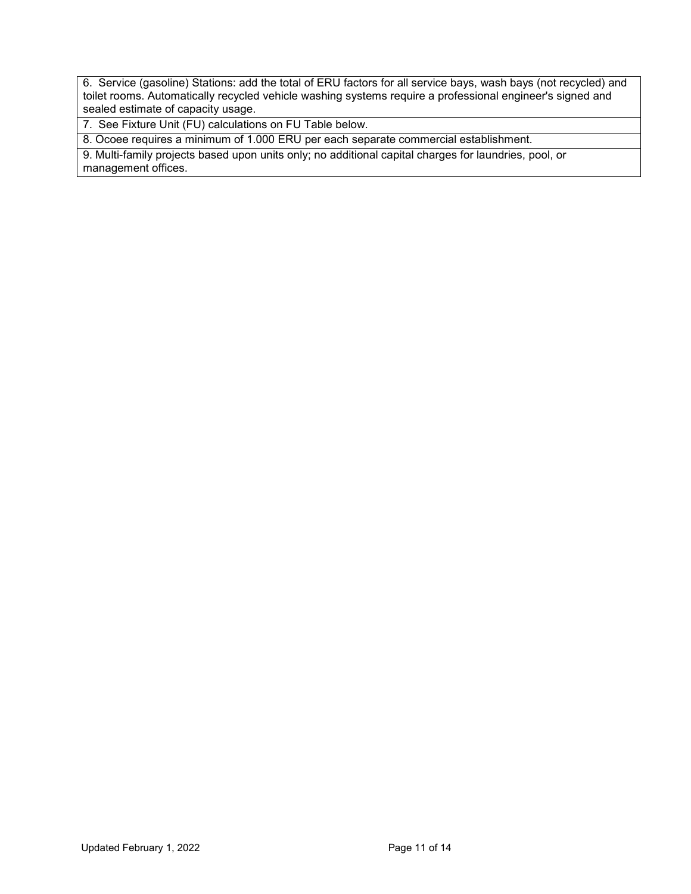6. Service (gasoline) Stations: add the total of ERU factors for all service bays, wash bays (not recycled) and toilet rooms. Automatically recycled vehicle washing systems require a professional engineer's signed and sealed estimate of capacity usage.

7. See Fixture Unit (FU) calculations on FU Table below.

8. Ocoee requires a minimum of 1.000 ERU per each separate commercial establishment.

9. Multi-family projects based upon units only; no additional capital charges for laundries, pool, or management offices.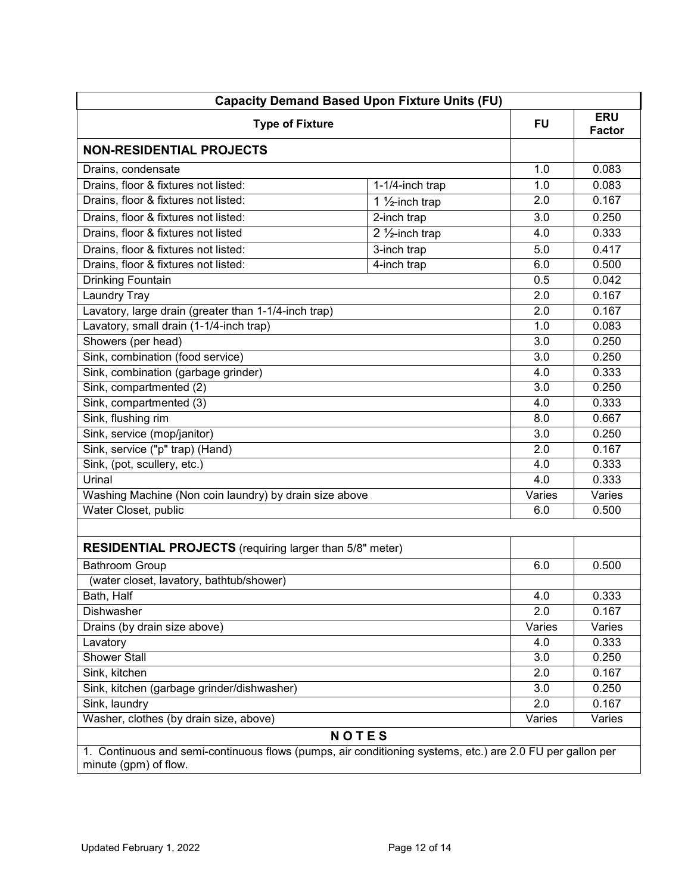| <b>Capacity Demand Based Upon Fixture Units (FU)</b>                                                                               |                            |           |                             |
|------------------------------------------------------------------------------------------------------------------------------------|----------------------------|-----------|-----------------------------|
| <b>Type of Fixture</b>                                                                                                             |                            | <b>FU</b> | <b>ERU</b><br><b>Factor</b> |
| <b>NON-RESIDENTIAL PROJECTS</b>                                                                                                    |                            |           |                             |
| Drains, condensate                                                                                                                 |                            | 1.0       | 0.083                       |
| Drains, floor & fixtures not listed:                                                                                               | 1-1/4-inch trap            | 1.0       | 0.083                       |
| Drains, floor & fixtures not listed:                                                                                               | 1 $\frac{1}{2}$ -inch trap | 2.0       | 0.167                       |
| Drains, floor & fixtures not listed:                                                                                               | 2-inch trap                | 3.0       | 0.250                       |
| Drains, floor & fixtures not listed                                                                                                | 2 $\frac{1}{2}$ -inch trap | 4.0       | 0.333                       |
| Drains, floor & fixtures not listed:                                                                                               | 3-inch trap                | 5.0       | 0.417                       |
| Drains, floor & fixtures not listed:                                                                                               | 4-inch trap                | 6.0       | 0.500                       |
| Drinking Fountain                                                                                                                  |                            | 0.5       | 0.042                       |
| Laundry Tray                                                                                                                       |                            | 2.0       | 0.167                       |
| Lavatory, large drain (greater than 1-1/4-inch trap)                                                                               |                            | 2.0       | 0.167                       |
| Lavatory, small drain (1-1/4-inch trap)                                                                                            |                            | 1.0       | 0.083                       |
| Showers (per head)                                                                                                                 |                            | 3.0       | 0.250                       |
| Sink, combination (food service)                                                                                                   |                            | 3.0       | 0.250                       |
| Sink, combination (garbage grinder)                                                                                                |                            | 4.0       | 0.333                       |
| Sink, compartmented (2)                                                                                                            |                            | 3.0       | 0.250                       |
| Sink, compartmented (3)                                                                                                            |                            | 4.0       | 0.333                       |
| Sink, flushing rim                                                                                                                 |                            | 8.0       | 0.667                       |
| Sink, service (mop/janitor)                                                                                                        |                            | 3.0       | 0.250                       |
| Sink, service ("p" trap) (Hand)                                                                                                    |                            | 2.0       | 0.167                       |
| Sink, (pot, scullery, etc.)                                                                                                        |                            | 4.0       | 0.333                       |
| Urinal                                                                                                                             |                            | 4.0       | 0.333                       |
| Washing Machine (Non coin laundry) by drain size above                                                                             |                            | Varies    | Varies                      |
| Water Closet, public                                                                                                               |                            | 6.0       | 0.500                       |
|                                                                                                                                    |                            |           |                             |
| <b>RESIDENTIAL PROJECTS</b> (requiring larger than 5/8" meter)                                                                     |                            |           |                             |
| <b>Bathroom Group</b>                                                                                                              |                            | 6.0       | 0.500                       |
| (water closet, lavatory, bathtub/shower)                                                                                           |                            |           |                             |
| Bath, Half                                                                                                                         |                            | 4.0       | 0.333                       |
| Dishwasher                                                                                                                         |                            | 2.0       | 0.167                       |
| Drains (by drain size above)                                                                                                       |                            | Varies    | Varies                      |
| Lavatory                                                                                                                           |                            | 4.0       | 0.333                       |
| <b>Shower Stall</b>                                                                                                                |                            | 3.0       | 0.250                       |
| Sink, kitchen                                                                                                                      |                            | 2.0       | 0.167                       |
| Sink, kitchen (garbage grinder/dishwasher)                                                                                         |                            | 3.0       | 0.250                       |
| Sink, laundry                                                                                                                      |                            | 2.0       | 0.167                       |
| Washer, clothes (by drain size, above)                                                                                             |                            | Varies    | Varies                      |
|                                                                                                                                    | <b>NOTES</b>               |           |                             |
| 1. Continuous and semi-continuous flows (pumps, air conditioning systems, etc.) are 2.0 FU per gallon per<br>minute (gpm) of flow. |                            |           |                             |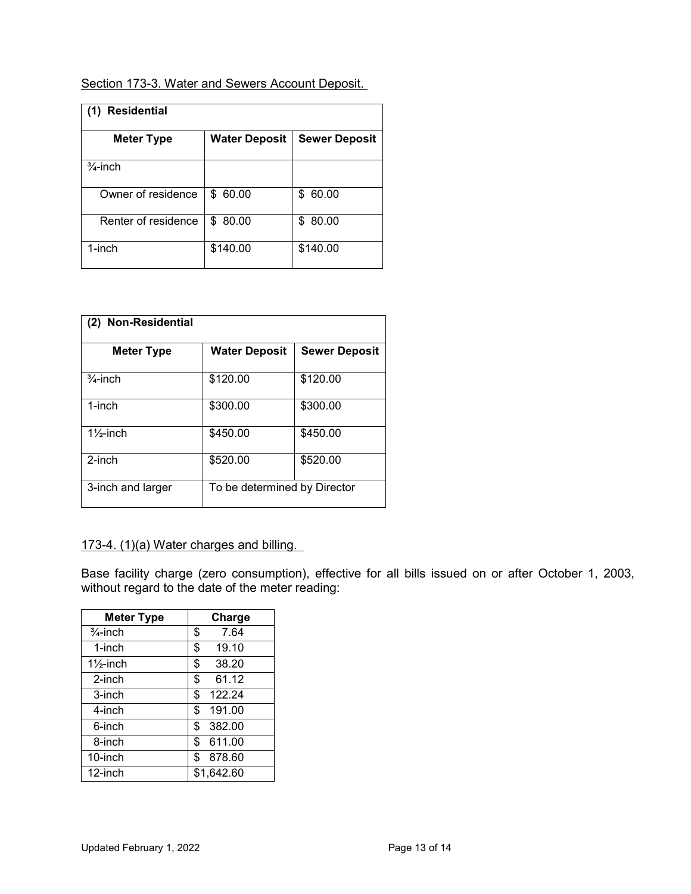## Section 173-3. Water and Sewers Account Deposit.

| <b>Residential</b><br>(1) |                      |                      |  |  |
|---------------------------|----------------------|----------------------|--|--|
| <b>Meter Type</b>         | <b>Water Deposit</b> | <b>Sewer Deposit</b> |  |  |
| $\frac{3}{4}$ -inch       |                      |                      |  |  |
| Owner of residence        | \$60.00              | 60.00<br>\$          |  |  |
| Renter of residence       | 80.00<br>\$.         | 80.00<br>S           |  |  |
| 1-inch                    | \$140.00             | \$140.00             |  |  |

| Non-Residential<br>(2) |                              |                      |
|------------------------|------------------------------|----------------------|
| <b>Meter Type</b>      | <b>Water Deposit</b>         | <b>Sewer Deposit</b> |
| $\frac{3}{4}$ -inch    | \$120.00                     | \$120.00             |
| 1-inch                 | \$300.00                     | \$300.00             |
| $1\frac{1}{2}$ -inch   | \$450.00                     | \$450.00             |
| $2$ -inch              | \$520.00                     | \$520.00             |
| 3-inch and larger      | To be determined by Director |                      |

## 173-4. (1)(a) Water charges and billing.

Base facility charge (zero consumption), effective for all bills issued on or after October 1, 2003, without regard to the date of the meter reading:

| <b>Meter Type</b>    | Charge       |
|----------------------|--------------|
| $\frac{3}{4}$ -inch  | \$<br>7.64   |
| 1-inch               | \$<br>19.10  |
| $1\frac{1}{2}$ -inch | \$<br>38.20  |
| 2-inch               | \$<br>61.12  |
| 3-inch               | \$<br>122.24 |
| 4-inch               | \$<br>191.00 |
| 6-inch               | \$<br>382.00 |
| 8-inch               | \$<br>611.00 |
| 10-inch              | \$<br>878.60 |
| 12-inch              | \$1,642.60   |